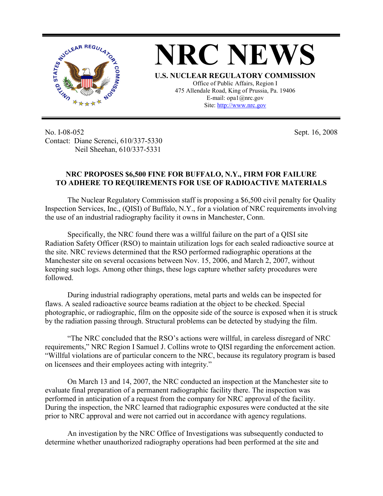

No. I-08-052 Contact: Diane Screnci, 610/337-5330 Neil Sheehan, 610/337-5331

Sept. 16, 2008

## **NRC PROPOSES \$6,500 FINE FOR BUFFALO, N.Y., FIRM FOR FAILURE TO ADHERE TO REQUIREMENTS FOR USE OF RADIOACTIVE MATERIALS**

The Nuclear Regulatory Commission staff is proposing a \$6,500 civil penalty for Quality Inspection Services, Inc., (QISI) of Buffalo, N.Y., for a violation of NRC requirements involving the use of an industrial radiography facility it owns in Manchester, Conn.

Specifically, the NRC found there was a willful failure on the part of a QISI site Radiation Safety Officer (RSO) to maintain utilization logs for each sealed radioactive source at the site. NRC reviews determined that the RSO performed radiographic operations at the Manchester site on several occasions between Nov. 15, 2006, and March 2, 2007, without keeping such logs. Among other things, these logs capture whether safety procedures were followed.

During industrial radiography operations, metal parts and welds can be inspected for flaws. A sealed radioactive source beams radiation at the object to be checked. Special photographic, or radiographic, film on the opposite side of the source is exposed when it is struck by the radiation passing through. Structural problems can be detected by studying the film.

"The NRC concluded that the RSO's actions were willful, in careless disregard of NRC requirements," NRC Region I Samuel J. Collins wrote to QISI regarding the enforcement action. "Willful violations are of particular concern to the NRC, because its regulatory program is based on licensees and their employees acting with integrity."

On March 13 and 14, 2007, the NRC conducted an inspection at the Manchester site to evaluate final preparation of a permanent radiographic facility there. The inspection was performed in anticipation of a request from the company for NRC approval of the facility. During the inspection, the NRC learned that radiographic exposures were conducted at the site prior to NRC approval and were not carried out in accordance with agency regulations.

An investigation by the NRC Office of Investigations was subsequently conducted to determine whether unauthorized radiography operations had been performed at the site and